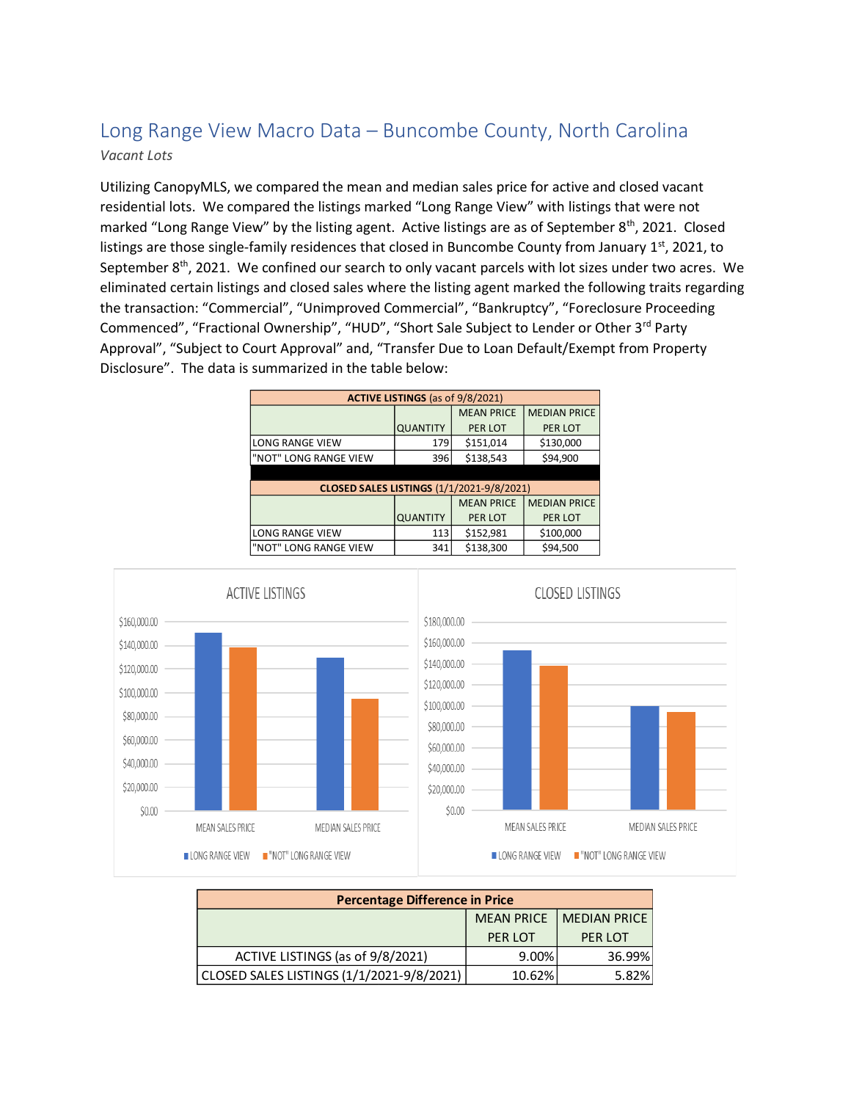## Long Range View Macro Data – Buncombe County, North Carolina *Vacant Lots*

Utilizing CanopyMLS, we compared the mean and median sales price for active and closed vacant residential lots. We compared the listings marked "Long Range View" with listings that were not marked "Long Range View" by the listing agent. Active listings are as of September 8<sup>th</sup>, 2021. Closed listings are those single-family residences that closed in Buncombe County from January  $1<sup>st</sup>$ , 2021, to September 8<sup>th</sup>, 2021. We confined our search to only vacant parcels with lot sizes under two acres. We eliminated certain listings and closed sales where the listing agent marked the following traits regarding the transaction: "Commercial", "Unimproved Commercial", "Bankruptcy", "Foreclosure Proceeding Commenced", "Fractional Ownership", "HUD", "Short Sale Subject to Lender or Other 3rd Party Approval", "Subject to Court Approval" and, "Transfer Due to Loan Default/Exempt from Property Disclosure". The data is summarized in the table below:

| <b>ACTIVE LISTINGS</b> (as of 9/8/2021)          |                 |                   |                     |  |  |
|--------------------------------------------------|-----------------|-------------------|---------------------|--|--|
|                                                  |                 | <b>MEAN PRICE</b> | <b>MEDIAN PRICE</b> |  |  |
|                                                  | <b>QUANTITY</b> | PER LOT           | PER LOT             |  |  |
| <b>LONG RANGE VIEW</b>                           | 179             | \$151,014         | \$130,000           |  |  |
| "NOT" LONG RANGE VIEW                            | 396             | \$138,543         | \$94,900            |  |  |
|                                                  |                 |                   |                     |  |  |
| <b>CLOSED SALES LISTINGS (1/1/2021-9/8/2021)</b> |                 |                   |                     |  |  |
|                                                  |                 | <b>MEAN PRICE</b> | <b>MEDIAN PRICE</b> |  |  |
|                                                  | <b>QUANTITY</b> | PER LOT           | PER LOT             |  |  |
| <b>LONG RANGE VIEW</b>                           | 113             | \$152,981         | \$100,000           |  |  |
| "NOT" LONG RANGE VIEW                            | 341             | \$138,300         | \$94,500            |  |  |



| <b>Percentage Difference in Price</b>     |                   |                     |  |  |
|-------------------------------------------|-------------------|---------------------|--|--|
|                                           | <b>MEAN PRICE</b> | <b>MEDIAN PRICE</b> |  |  |
|                                           | PER LOT           | PER LOT             |  |  |
| ACTIVE LISTINGS (as of 9/8/2021)          | 9.00%             | 36.99%              |  |  |
| CLOSED SALES LISTINGS (1/1/2021-9/8/2021) | 10.62%            | 5.82%               |  |  |